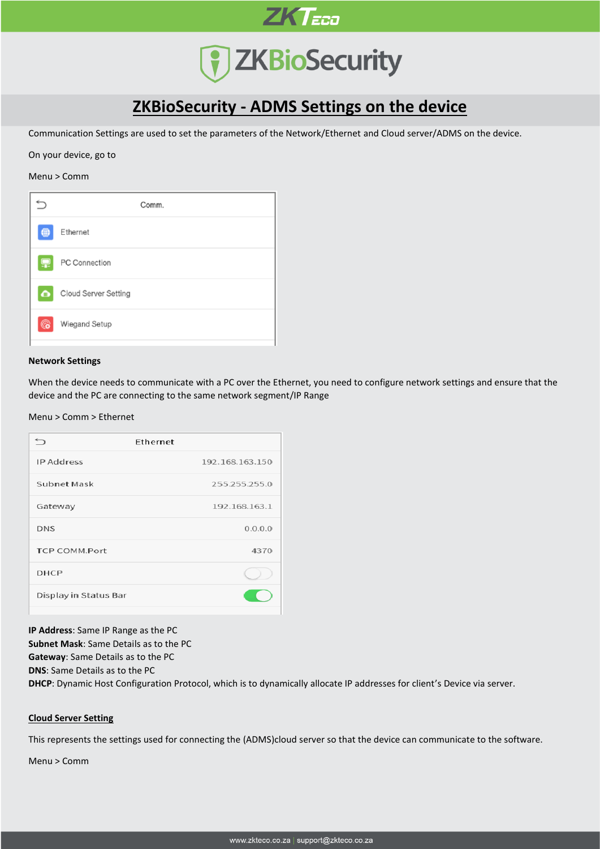

## **7 ZKBioSecurity**

### **ZKBioSecurity - ADMS Settings on the device**

Communication Settings are used to set the parameters of the Network/Ethernet and Cloud server/ADMS on the device.

On your device, go to

#### Menu > Comm



#### **Network Settings**

When the device needs to communicate with a PC over the Ethernet, you need to configure network settings and ensure that the device and the PC are connecting to the same network segment/IP Range

Menu > Comm > Ethernet

|                       | Ethernet        |
|-----------------------|-----------------|
| IP Address            | 192.168.163.150 |
| Subnet Mask           | 255.255.255.0   |
| Gateway               | 192.168.163.1   |
| <b>DNS</b>            | 0.0.0.0         |
| TCP COMM.Port         | 4370            |
| <b>DHCP</b>           |                 |
| Display in Status Bar |                 |
|                       |                 |

**IP Address**: Same IP Range as the PC

**Subnet Mask**: Same Details as to the PC

**Gateway**: Same Details as to the PC

**DNS**: Same Details as to the PC

**DHCP**: Dynamic Host Configuration Protocol, which is to dynamically allocate IP addresses for client's Device via server.

#### **Cloud Server Setting**

This represents the settings used for connecting the (ADMS)cloud server so that the device can communicate to the software.

Menu > Comm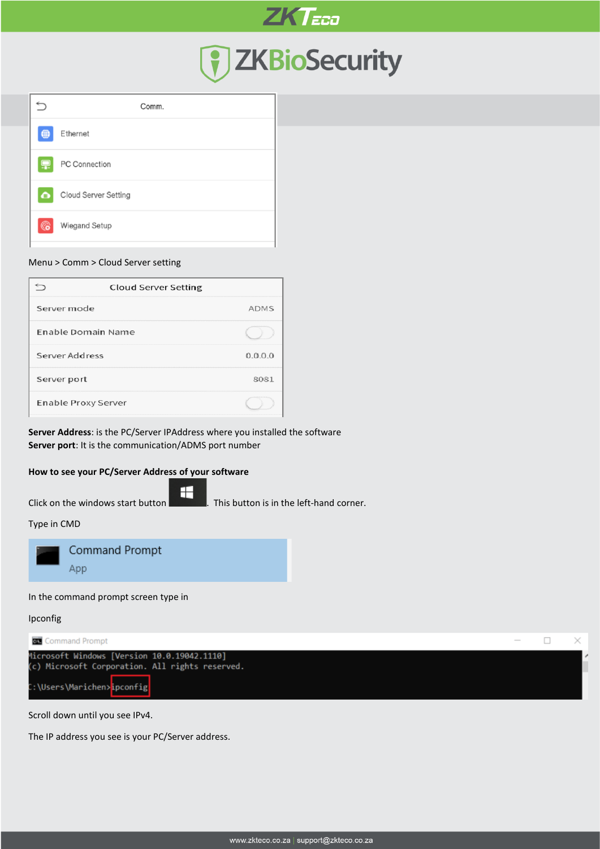

# 7 ZKBioSecurity

|           | Comm.                |
|-----------|----------------------|
| ∰         | Ethernet             |
|           | PC Connection        |
| $\bullet$ | Cloud Server Setting |
| G         | Wiegand Setup        |
|           |                      |

#### Menu > Comm > Cloud Server setting

| <b>Cloud Server Setting</b> |             |
|-----------------------------|-------------|
| Server mode                 | <b>ADMS</b> |
| Enable Domain Name          |             |
| Server Address              | 0.0.0.0     |
| Server port                 | 8081        |
| Enable Proxy Server         |             |

**Server Address**: is the PC/Server IPAddress where you installed the software **Server port**: It is the communication/ADMS port number

H

#### **How to see your PC/Server Address of your software**

Click on the windows start button  $\blacksquare$  . This button is in the left-hand corner.

Type in CMD



In the command prompt screen type in

Ipconfig



Scroll down until you see IPv4.

The IP address you see is your PC/Server address.